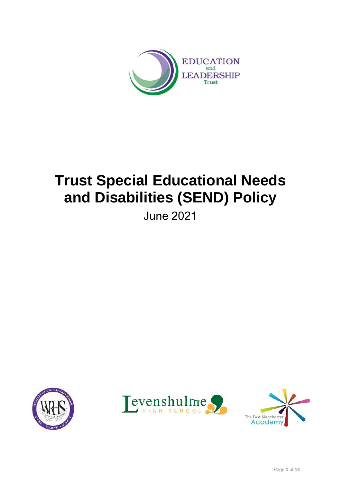

# **Trust Special Educational Needs and Disabilities (SEND) Policy**

June 2021





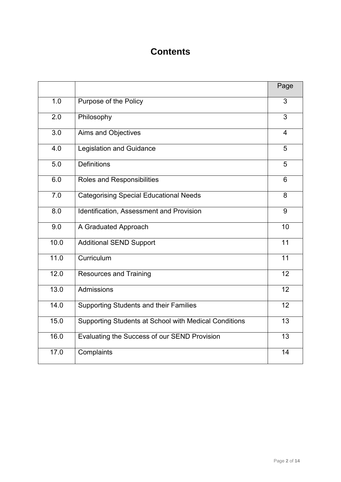# **Contents**

|                  |                                                       | Page            |
|------------------|-------------------------------------------------------|-----------------|
| 1.0              | Purpose of the Policy                                 | 3               |
| 2.0              | Philosophy                                            | 3               |
| 3.0              | Aims and Objectives                                   | $\overline{4}$  |
| 4.0              | <b>Legislation and Guidance</b>                       | 5               |
| 5.0              | <b>Definitions</b>                                    | 5               |
| 6.0              | Roles and Responsibilities                            | 6               |
| $\overline{7.0}$ | <b>Categorising Special Educational Needs</b>         | 8               |
| 8.0              | Identification, Assessment and Provision              | 9               |
| 9.0              | A Graduated Approach                                  | 10              |
| 10.0             | <b>Additional SEND Support</b>                        | $\overline{11}$ |
| 11.0             | Curriculum                                            | 11              |
| 12.0             | <b>Resources and Training</b>                         | 12              |
| 13.0             | Admissions                                            | 12              |
| 14.0             | <b>Supporting Students and their Families</b>         | 12              |
| 15.0             | Supporting Students at School with Medical Conditions | $\overline{13}$ |
| 16.0             | Evaluating the Success of our SEND Provision          | $\overline{13}$ |
| 17.0             | Complaints                                            | 14              |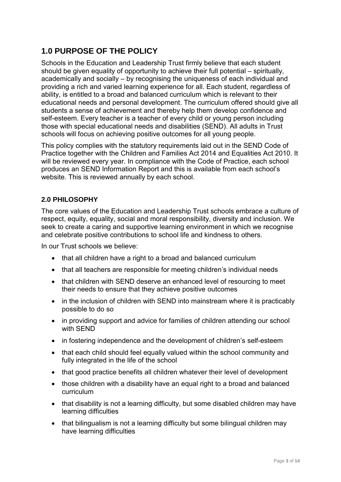# **1.0 PURPOSE OF THE POLICY**

Schools in the Education and Leadership Trust firmly believe that each student should be given equality of opportunity to achieve their full potential – spiritually, academically and socially – by recognising the uniqueness of each individual and providing a rich and varied learning experience for all. Each student, regardless of ability, is entitled to a broad and balanced curriculum which is relevant to their educational needs and personal development. The curriculum offered should give all students a sense of achievement and thereby help them develop confidence and self-esteem. Every teacher is a teacher of every child or young person including those with special educational needs and disabilities (SEND). All adults in Trust schools will focus on achieving positive outcomes for all young people.

This policy complies with the statutory requirements laid out in the SEND Code of Practice together with the Children and Families Act 2014 and Equalities Act 2010. It will be reviewed every year. In compliance with the Code of Practice, each school produces an SEND Information Report and this is available from each school's website. This is reviewed annually by each school.

#### **2.0 PHILOSOPHY**

The core values of the Education and Leadership Trust schools embrace a culture of respect, equity, equality, social and moral responsibility, diversity and inclusion. We seek to create a caring and supportive learning environment in which we recognise and celebrate positive contributions to school life and kindness to others.

In our Trust schools we believe:

- that all children have a right to a broad and balanced curriculum
- that all teachers are responsible for meeting children's individual needs
- that children with SEND deserve an enhanced level of resourcing to meet their needs to ensure that they achieve positive outcomes
- in the inclusion of children with SEND into mainstream where it is practicably possible to do so
- in providing support and advice for families of children attending our school with SEND
- in fostering independence and the development of children's self-esteem
- that each child should feel equally valued within the school community and fully integrated in the life of the school
- that good practice benefits all children whatever their level of development
- those children with a disability have an equal right to a broad and balanced curriculum
- that disability is not a learning difficulty, but some disabled children may have learning difficulties
- that bilingualism is not a learning difficulty but some bilingual children may have learning difficulties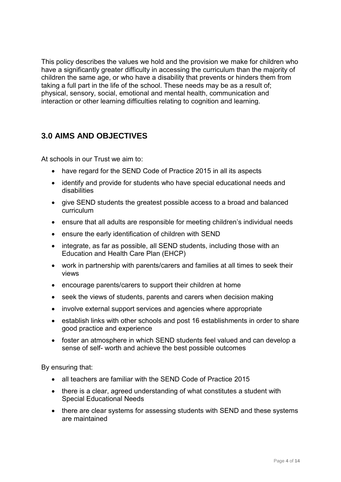This policy describes the values we hold and the provision we make for children who have a significantly greater difficulty in accessing the curriculum than the majority of children the same age, or who have a disability that prevents or hinders them from taking a full part in the life of the school. These needs may be as a result of; physical, sensory, social, emotional and mental health, communication and interaction or other learning difficulties relating to cognition and learning.

## **3.0 AIMS AND OBJECTIVES**

At schools in our Trust we aim to:

- have regard for the SEND Code of Practice 2015 in all its aspects
- identify and provide for students who have special educational needs and disabilities
- give SEND students the greatest possible access to a broad and balanced curriculum
- ensure that all adults are responsible for meeting children's individual needs
- ensure the early identification of children with SEND
- integrate, as far as possible, all SEND students, including those with an Education and Health Care Plan (EHCP)
- work in partnership with parents/carers and families at all times to seek their views
- encourage parents/carers to support their children at home
- seek the views of students, parents and carers when decision making
- involve external support services and agencies where appropriate
- establish links with other schools and post 16 establishments in order to share good practice and experience
- foster an atmosphere in which SEND students feel valued and can develop a sense of self- worth and achieve the best possible outcomes

By ensuring that:

- all teachers are familiar with the SEND Code of Practice 2015
- there is a clear, agreed understanding of what constitutes a student with Special Educational Needs
- there are clear systems for assessing students with SEND and these systems are maintained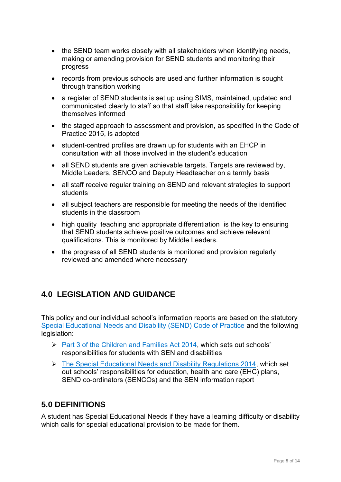- the SEND team works closely with all stakeholders when identifying needs, making or amending provision for SEND students and monitoring their progress
- records from previous schools are used and further information is sought through transition working
- a register of SEND students is set up using SIMS, maintained, updated and communicated clearly to staff so that staff take responsibility for keeping themselves informed
- the staged approach to assessment and provision, as specified in the Code of Practice 2015, is adopted
- student-centred profiles are drawn up for students with an EHCP in consultation with all those involved in the student's education
- all SEND students are given achievable targets. Targets are reviewed by, Middle Leaders, SENCO and Deputy Headteacher on a termly basis
- all staff receive regular training on SEND and relevant strategies to support students
- all subject teachers are responsible for meeting the needs of the identified students in the classroom
- high quality teaching and appropriate differentiation is the key to ensuring that SEND students achieve positive outcomes and achieve relevant qualifications. This is monitored by Middle Leaders.
- the progress of all SEND students is monitored and provision regularly reviewed and amended where necessary

# **4.0 LEGISLATION AND GUIDANCE**

This policy and our individual school's information reports are based on the statutory [Special Educational Needs and Disability \(SEND\) Code of Practice](https://www.gov.uk/government/uploads/system/uploads/attachment_data/file/398815/SEND_Code_of_Practice_January_2015.pdf) and the following legislation:

- ➢ [Part 3 of the Children and Families Act 2014,](http://www.legislation.gov.uk/ukpga/2014/6/part/3) which sets out schools' responsibilities for students with SEN and disabilities
- ➢ [The Special Educational Needs and Disability Regulations 2014,](http://www.legislation.gov.uk/uksi/2014/1530/contents/made) which set out schools' responsibilities for education, health and care (EHC) plans, SEND co-ordinators (SENCOs) and the SEN information report

## **5.0 DEFINITIONS**

A student has Special Educational Needs if they have a learning difficulty or disability which calls for special educational provision to be made for them.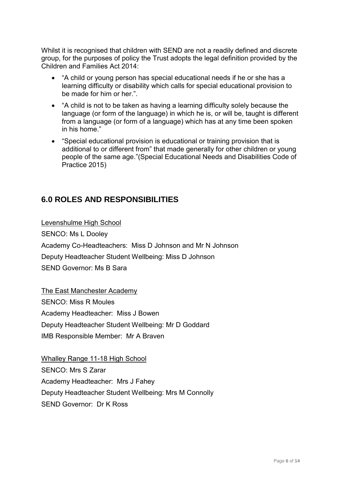Whilst it is recognised that children with SEND are not a readily defined and discrete group, for the purposes of policy the Trust adopts the legal definition provided by the Children and Families Act 2014:

- "A child or young person has special educational needs if he or she has a learning difficulty or disability which calls for special educational provision to be made for him or her.".
- "A child is not to be taken as having a learning difficulty solely because the language (or form of the language) in which he is, or will be, taught is different from a language (or form of a language) which has at any time been spoken in his home."
- "Special educational provision is educational or training provision that is additional to or different from" that made generally for other children or young people of the same age."(Special Educational Needs and Disabilities Code of Practice 2015)

## **6.0 ROLES AND RESPONSIBILITIES**

Levenshulme High School SENCO: Ms L Dooley Academy Co-Headteachers: Miss D Johnson and Mr N Johnson Deputy Headteacher Student Wellbeing: Miss D Johnson SEND Governor: Ms B Sara

The East Manchester Academy SENCO: Miss R Moules Academy Headteacher: Miss J Bowen Deputy Headteacher Student Wellbeing: Mr D Goddard IMB Responsible Member: Mr A Braven

Whalley Range 11-18 High School SENCO: Mrs S Zarar Academy Headteacher: Mrs J Fahey Deputy Headteacher Student Wellbeing: Mrs M Connolly SEND Governor: Dr K Ross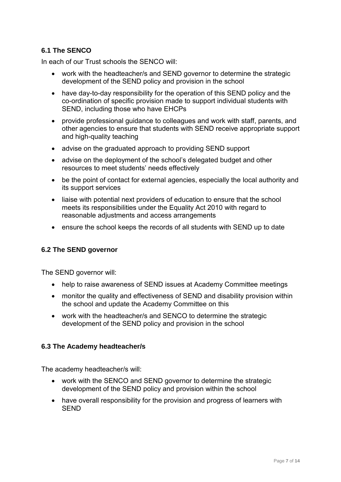#### **6.1 The SENCO**

In each of our Trust schools the SENCO will:

- work with the headteacher/s and SEND governor to determine the strategic development of the SEND policy and provision in the school
- have day-to-day responsibility for the operation of this SEND policy and the co-ordination of specific provision made to support individual students with SEND, including those who have EHCPs
- provide professional guidance to colleagues and work with staff, parents, and other agencies to ensure that students with SEND receive appropriate support and high-quality teaching
- advise on the graduated approach to providing SEND support
- advise on the deployment of the school's delegated budget and other resources to meet students' needs effectively
- be the point of contact for external agencies, especially the local authority and its support services
- liaise with potential next providers of education to ensure that the school meets its responsibilities under the Equality Act 2010 with regard to reasonable adjustments and access arrangements
- ensure the school keeps the records of all students with SEND up to date

#### **6.2 The SEND governor**

The SEND governor will:

- help to raise awareness of SEND issues at Academy Committee meetings
- monitor the quality and effectiveness of SEND and disability provision within the school and update the Academy Committee on this
- work with the headteacher/s and SENCO to determine the strategic development of the SEND policy and provision in the school

#### **6.3 The Academy headteacher/s**

The academy headteacher/s will:

- work with the SENCO and SEND governor to determine the strategic development of the SEND policy and provision within the school
- have overall responsibility for the provision and progress of learners with SEND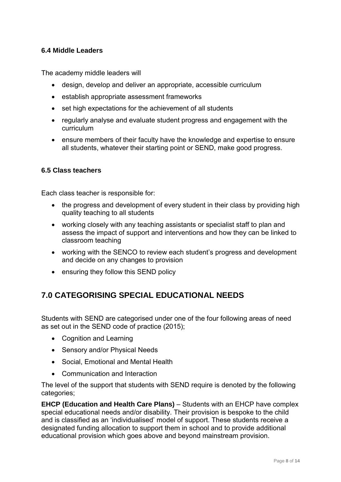#### **6.4 Middle Leaders**

The academy middle leaders will

- design, develop and deliver an appropriate, accessible curriculum
- establish appropriate assessment frameworks
- set high expectations for the achievement of all students
- regularly analyse and evaluate student progress and engagement with the curriculum
- ensure members of their faculty have the knowledge and expertise to ensure all students, whatever their starting point or SEND, make good progress.

#### **6.5 Class teachers**

Each class teacher is responsible for:

- the progress and development of every student in their class by providing high quality teaching to all students
- working closely with any teaching assistants or specialist staff to plan and assess the impact of support and interventions and how they can be linked to classroom teaching
- working with the SENCO to review each student's progress and development and decide on any changes to provision
- ensuring they follow this SEND policy

## **7.0 CATEGORISING SPECIAL EDUCATIONAL NEEDS**

Students with SEND are categorised under one of the four following areas of need as set out in the SEND code of practice (2015);

- Cognition and Learning
- Sensory and/or Physical Needs
- Social, Emotional and Mental Health
- Communication and Interaction

The level of the support that students with SEND require is denoted by the following categories;

**EHCP (Education and Health Care Plans)** – Students with an EHCP have complex special educational needs and/or disability. Their provision is bespoke to the child and is classified as an 'individualised' model of support. These students receive a designated funding allocation to support them in school and to provide additional educational provision which goes above and beyond mainstream provision.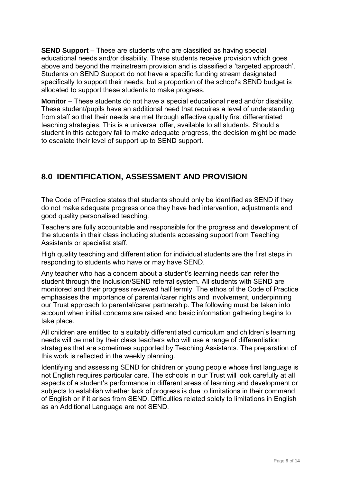**SEND Support** – These are students who are classified as having special educational needs and/or disability. These students receive provision which goes above and beyond the mainstream provision and is classified a 'targeted approach'. Students on SEND Support do not have a specific funding stream designated specifically to support their needs, but a proportion of the school's SEND budget is allocated to support these students to make progress.

**Monitor** – These students do not have a special educational need and/or disability. These student/pupils have an additional need that requires a level of understanding from staff so that their needs are met through effective quality first differentiated teaching strategies. This is a universal offer, available to all students. Should a student in this category fail to make adequate progress, the decision might be made to escalate their level of support up to SEND support.

# **8.0 IDENTIFICATION, ASSESSMENT AND PROVISION**

The Code of Practice states that students should only be identified as SEND if they do not make adequate progress once they have had intervention, adjustments and good quality personalised teaching.

Teachers are fully accountable and responsible for the progress and development of the students in their class including students accessing support from Teaching Assistants or specialist staff.

High quality teaching and differentiation for individual students are the first steps in responding to students who have or may have SEND.

Any teacher who has a concern about a student's learning needs can refer the student through the Inclusion/SEND referral system. All students with SEND are monitored and their progress reviewed half termly. The ethos of the Code of Practice emphasises the importance of parental/carer rights and involvement, underpinning our Trust approach to parental/carer partnership. The following must be taken into account when initial concerns are raised and basic information gathering begins to take place.

All children are entitled to a suitably differentiated curriculum and children's learning needs will be met by their class teachers who will use a range of differentiation strategies that are sometimes supported by Teaching Assistants. The preparation of this work is reflected in the weekly planning.

Identifying and assessing SEND for children or young people whose first language is not English requires particular care. The schools in our Trust will look carefully at all aspects of a student's performance in different areas of learning and development or subjects to establish whether lack of progress is due to limitations in their command of English or if it arises from SEND. Difficulties related solely to limitations in English as an Additional Language are not SEND.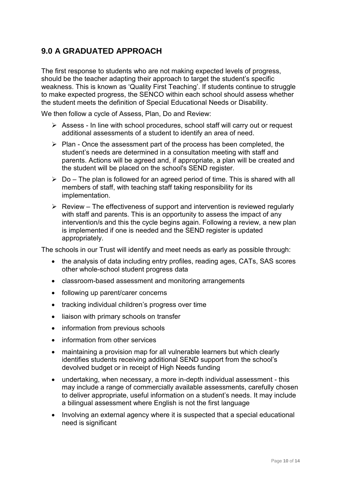# **9.0 A GRADUATED APPROACH**

The first response to students who are not making expected levels of progress, should be the teacher adapting their approach to target the student's specific weakness. This is known as 'Quality First Teaching'. If students continue to struggle to make expected progress, the SENCO within each school should assess whether the student meets the definition of Special Educational Needs or Disability.

We then follow a cycle of Assess, Plan, Do and Review:

- ➢ Assess In line with school procedures, school staff will carry out or request additional assessments of a student to identify an area of need.
- ➢ Plan Once the assessment part of the process has been completed, the student's needs are determined in a consultation meeting with staff and parents. Actions will be agreed and, if appropriate, a plan will be created and the student will be placed on the school's SEND register.
- $\triangleright$  Do The plan is followed for an agreed period of time. This is shared with all members of staff, with teaching staff taking responsibility for its implementation.
- $\triangleright$  Review The effectiveness of support and intervention is reviewed regularly with staff and parents. This is an opportunity to assess the impact of any intervention/s and this the cycle begins again. Following a review, a new plan is implemented if one is needed and the SEND register is updated appropriately.

The schools in our Trust will identify and meet needs as early as possible through:

- the analysis of data including entry profiles, reading ages, CATs, SAS scores other whole-school student progress data
- classroom-based assessment and monitoring arrangements
- following up parent/carer concerns
- tracking individual children's progress over time
- liaison with primary schools on transfer
- information from previous schools
- information from other services
- maintaining a provision map for all vulnerable learners but which clearly identifies students receiving additional SEND support from the school's devolved budget or in receipt of High Needs funding
- undertaking, when necessary, a more in-depth individual assessment this may include a range of commercially available assessments, carefully chosen to deliver appropriate, useful information on a student's needs. It may include a bilingual assessment where English is not the first language
- Involving an external agency where it is suspected that a special educational need is significant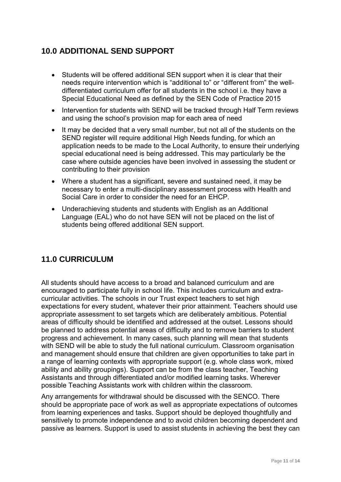## **10.0 ADDITIONAL SEND SUPPORT**

- Students will be offered additional SEN support when it is clear that their needs require intervention which is "additional to" or "different from" the welldifferentiated curriculum offer for all students in the school i.e. they have a Special Educational Need as defined by the SEN Code of Practice 2015
- Intervention for students with SEND will be tracked through Half Term reviews and using the school's provision map for each area of need
- It may be decided that a very small number, but not all of the students on the SEND register will require additional High Needs funding, for which an application needs to be made to the Local Authority, to ensure their underlying special educational need is being addressed. This may particularly be the case where outside agencies have been involved in assessing the student or contributing to their provision
- Where a student has a significant, severe and sustained need, it may be necessary to enter a multi-disciplinary assessment process with Health and Social Care in order to consider the need for an EHCP.
- Underachieving students and students with English as an Additional Language (EAL) who do not have SEN will not be placed on the list of students being offered additional SEN support.

# **11.0 CURRICULUM**

All students should have access to a broad and balanced curriculum and are encouraged to participate fully in school life. This includes curriculum and extracurricular activities. The schools in our Trust expect teachers to set high expectations for every student, whatever their prior attainment. Teachers should use appropriate assessment to set targets which are deliberately ambitious. Potential areas of difficulty should be identified and addressed at the outset. Lessons should be planned to address potential areas of difficulty and to remove barriers to student progress and achievement. In many cases, such planning will mean that students with SEND will be able to study the full national curriculum. Classroom organisation and management should ensure that children are given opportunities to take part in a range of learning contexts with appropriate support (e.g. whole class work, mixed ability and ability groupings). Support can be from the class teacher, Teaching Assistants and through differentiated and/or modified learning tasks. Wherever possible Teaching Assistants work with children within the classroom.

Any arrangements for withdrawal should be discussed with the SENCO. There should be appropriate pace of work as well as appropriate expectations of outcomes from learning experiences and tasks. Support should be deployed thoughtfully and sensitively to promote independence and to avoid children becoming dependent and passive as learners. Support is used to assist students in achieving the best they can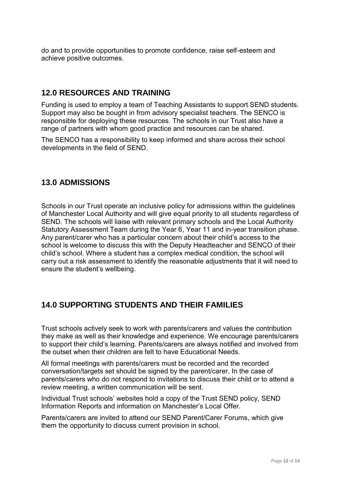do and to provide opportunities to promote confidence, raise self-esteem and achieve positive outcomes.

### **12.0 RESOURCES AND TRAINING**

Funding is used to employ a team of Teaching Assistants to support SEND students. Support may also be bought in from advisory specialist teachers. The SENCO is responsible for deploying these resources. The schools in our Trust also have a range of partners with whom good practice and resources can be shared.

The SENCO has a responsibility to keep informed and share across their school developments in the field of SEND.

#### **13.0 ADMISSIONS**

Schools in our Trust operate an inclusive policy for admissions within the guidelines of Manchester Local Authority and will give equal priority to all students regardless of SEND. The schools will liaise with relevant primary schools and the Local Authority Statutory Assessment Team during the Year 6, Year 11 and in-year transition phase. Any parent/carer who has a particular concern about their child's access to the school is welcome to discuss this with the Deputy Headteacher and SENCO of their child's school. Where a student has a complex medical condition, the school will carry out a risk assessment to identify the reasonable adjustments that it will need to ensure the student's wellbeing.

### **14.0 SUPPORTING STUDENTS AND THEIR FAMILIES**

Trust schools actively seek to work with parents/carers and values the contribution they make as well as their knowledge and experience. We encourage parents/carers to support their child's learning. Parents/carers are always notified and involved from the outset when their children are felt to have Educational Needs.

All formal meetings with parents/carers must be recorded and the recorded conversation/targets set should be signed by the parent/carer. In the case of parents/carers who do not respond to invitations to discuss their child or to attend a review meeting, a written communication will be sent.

Individual Trust schools' websites hold a copy of the Trust SEND policy, SEND Information Reports and information on Manchester's Local Offer.

Parents/carers are invited to attend our SEND Parent/Carer Forums, which give them the opportunity to discuss current provision in school.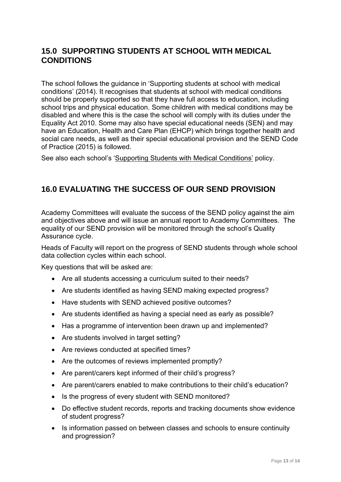## **15.0 SUPPORTING STUDENTS AT SCHOOL WITH MEDICAL CONDITIONS**

The school follows the guidance in 'Supporting students at school with medical conditions' (2014). It recognises that students at school with medical conditions should be properly supported so that they have full access to education, including school trips and physical education. Some children with medical conditions may be disabled and where this is the case the school will comply with its duties under the Equality Act 2010. Some may also have special educational needs (SEN) and may have an Education, Health and Care Plan (EHCP) which brings together health and social care needs, as well as their special educational provision and the SEND Code of Practice (2015) is followed.

See also each school's 'Supporting Students with Medical Conditions' policy.

## **16.0 EVALUATING THE SUCCESS OF OUR SEND PROVISION**

Academy Committees will evaluate the success of the SEND policy against the aim and objectives above and will issue an annual report to Academy Committees. The equality of our SEND provision will be monitored through the school's Quality Assurance cycle.

Heads of Faculty will report on the progress of SEND students through whole school data collection cycles within each school.

Key questions that will be asked are:

- Are all students accessing a curriculum suited to their needs?
- Are students identified as having SEND making expected progress?
- Have students with SEND achieved positive outcomes?
- Are students identified as having a special need as early as possible?
- Has a programme of intervention been drawn up and implemented?
- Are students involved in target setting?
- Are reviews conducted at specified times?
- Are the outcomes of reviews implemented promptly?
- Are parent/carers kept informed of their child's progress?
- Are parent/carers enabled to make contributions to their child's education?
- Is the progress of every student with SEND monitored?
- Do effective student records, reports and tracking documents show evidence of student progress?
- Is information passed on between classes and schools to ensure continuity and progression?